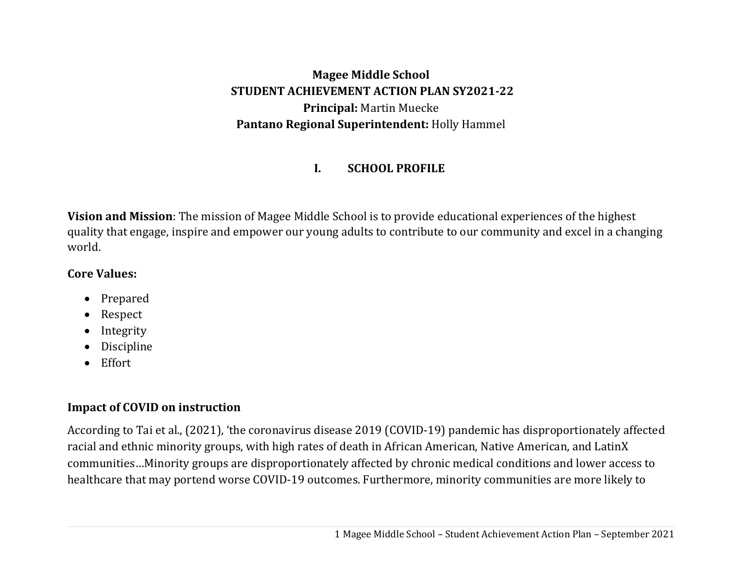**Magee Middle School STUDENT ACHIEVEMENT ACTION PLAN SY2021‐22 Principal:** Martin Muecke **Pantano Regional Superintendent:** Holly Hammel

#### **I.SCHOOL PROFILE**

**Vision and Mission**: The mission of Magee Middle School is to provide educational experiences of the highest quality that engage, inspire and empower our young adults to contribute to our community and excel in a changing world.

## **Core Values:**

- $\bullet$ Prepared
- $\bullet$ Respect
- $\bullet$ Integrity
- $\bullet$ Discipline
- $\bullet$ Effort

# **Impact of COVID on instruction**

According to Tai et al., (2021), 'the coronavirus disease 2019 (COVID-19) pandemic has disproportionately affected racial and ethnic minority groups, with high rates of death in African American, Native American, and LatinX communities…Minority groups are disproportionately affected by chronic medical conditions and lower access to healthcare that may portend worse COVID-19 outcomes. Furthermore, minority communities are more likely to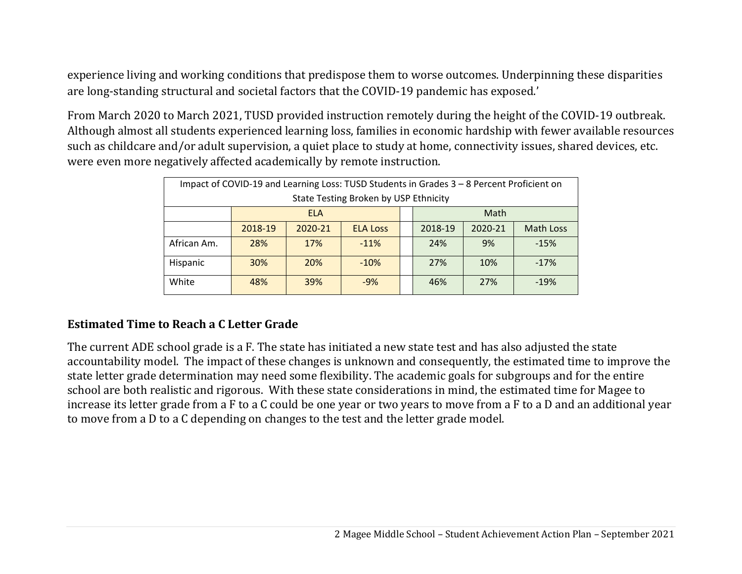experience living and working conditions that predispose them to worse outcomes. Underpinning these disparities are long-standing structural and societal factors that the COVID-19 pandemic has exposed.'

From March 2020 to March 2021, TUSD provided instruction remotely during the height of the COVID-19 outbreak. Although almost all students experienced learning loss, families in economic hardship with fewer available resources such as childcare and/or adult supervision, a quiet place to study at home, connectivity issues, shared devices, etc. were even more negatively affected academically by remote instruction.

| Impact of COVID-19 and Learning Loss: TUSD Students in Grades 3 - 8 Percent Proficient on |                                                                                 |            |                                       |  |     |      |        |
|-------------------------------------------------------------------------------------------|---------------------------------------------------------------------------------|------------|---------------------------------------|--|-----|------|--------|
|                                                                                           |                                                                                 |            | State Testing Broken by USP Ethnicity |  |     |      |        |
|                                                                                           |                                                                                 | <b>ELA</b> |                                       |  |     | Math |        |
|                                                                                           | 2018-19<br>2018-19<br>2020-21<br>2020-21<br><b>Math Loss</b><br><b>ELA Loss</b> |            |                                       |  |     |      |        |
| African Am.                                                                               | 28%                                                                             | 17%        | $-11%$                                |  | 24% | 9%   | $-15%$ |
| <b>30%</b><br><b>20%</b><br>$-10%$<br>27%<br>Hispanic<br>10%<br>$-17%$                    |                                                                                 |            |                                       |  |     |      |        |
| White                                                                                     | 39%<br>48%<br>27%<br>$-9%$<br>46%<br>$-19%$                                     |            |                                       |  |     |      |        |

# **Estimated Time to Reach aC Letter Grade**

The current ADE school grade is a F. The state has initiated a new state test and has also adjusted the state accountability model. The impact of these changes is unknown and consequently, the estimated time to improve the state letter grade determination may need some flexibility. The academic goals for subgroups and for the entire school are both realistic and rigorous. With these state considerations in mind, the estimated time for Magee to increase its letter grade from a F to a C could be one year or two years to move from a F to a D and an additional year to move from a D to a C depending on changes to the test and the letter grade model.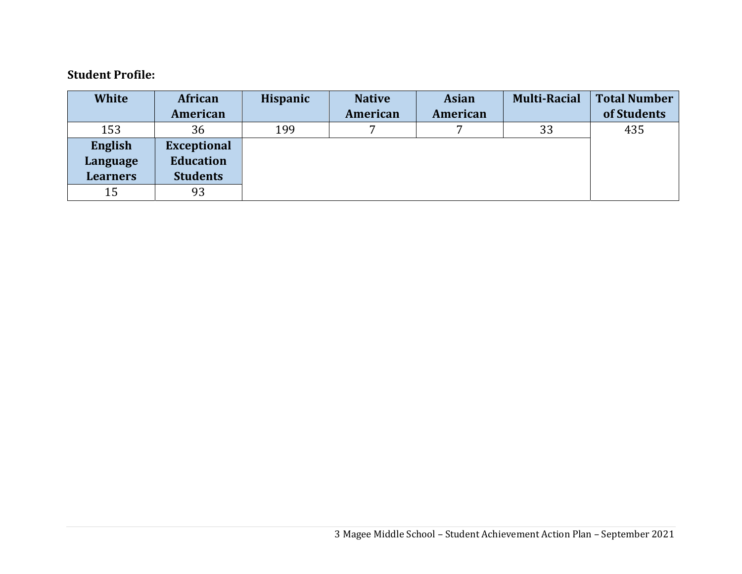#### **Student Profile:**

| <b>White</b>    | African            | <b>Hispanic</b> | <b>Native</b> | <b>Asian</b> | <b>Multi-Racial</b> | <b>Total Number</b> |
|-----------------|--------------------|-----------------|---------------|--------------|---------------------|---------------------|
|                 | American           |                 | American      | American     |                     | of Students         |
| 153             | 36                 | 199             | ⇁             |              | 33                  | 435                 |
| English         | <b>Exceptional</b> |                 |               |              |                     |                     |
| Language        | <b>Education</b>   |                 |               |              |                     |                     |
| <b>Learners</b> | <b>Students</b>    |                 |               |              |                     |                     |
| 15              | 93                 |                 |               |              |                     |                     |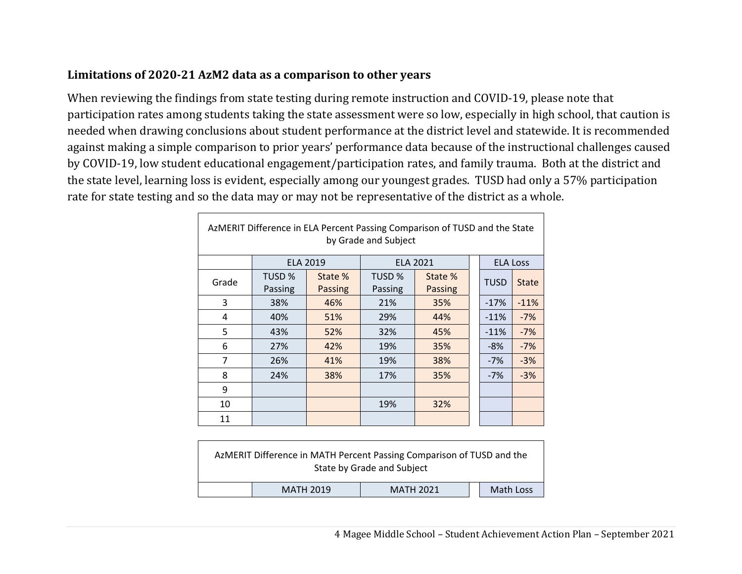## **Limitations of 2020‐21 AzM2 data as a comparison to other years**

 $\Gamma$ 

When reviewing the findings from state testing during remote instruction and COVID-19, please note that participation rates among students taking the state assessment were so low, especially in high school, that caution is needed when drawing conclusions about student performance at the district level and statewide. It is recommended against making a simple comparison to prior years' performance data because of the instructional challenges caused by COVID-19, low student educational engagement/participation rates, and family trauma. Both at the district and the state level, learning loss is evident, especially among our youngest grades. TUSD had only a 57% participation rate for state testing and so the data may or may not be representative of the district as a whole.

| AzMERIT Difference in ELA Percent Passing Comparison of TUSD and the State<br>by Grade and Subject |                   |                    |                   |                    |  |                 |              |
|----------------------------------------------------------------------------------------------------|-------------------|--------------------|-------------------|--------------------|--|-----------------|--------------|
|                                                                                                    |                   | <b>ELA 2019</b>    |                   | <b>ELA 2021</b>    |  | <b>ELA Loss</b> |              |
| Grade                                                                                              | TUSD %<br>Passing | State %<br>Passing | TUSD %<br>Passing | State %<br>Passing |  | <b>TUSD</b>     | <b>State</b> |
| 3                                                                                                  | 38%               | 46%                | 21%               | 35%                |  | $-17%$          | $-11%$       |
| 4                                                                                                  | 40%               | 51%                | 29%               | 44%                |  | $-11%$          | $-7%$        |
| 5                                                                                                  | 43%               | 52%                | 32%               | 45%                |  | $-11%$          | $-7%$        |
| 6                                                                                                  | 27%               | 42%                | 19%               | 35%                |  | $-8%$           | $-7%$        |
| $\overline{7}$                                                                                     | 26%               | 41%                | 19%               | 38%                |  | $-7%$           | $-3%$        |
| 8                                                                                                  | 24%               | 38%                | 17%               | 35%                |  | $-7%$           | $-3%$        |
| 9                                                                                                  |                   |                    |                   |                    |  |                 |              |
| 10                                                                                                 |                   |                    | 19%               | 32%                |  |                 |              |
| 11                                                                                                 |                   |                    |                   |                    |  |                 |              |

|                                                   |  | AzMERIT Difference in MATH Percent Passing Comparison of TUSD and the<br>State by Grade and Subject |  |  |  |  |
|---------------------------------------------------|--|-----------------------------------------------------------------------------------------------------|--|--|--|--|
| Math Loss<br><b>MATH 2021</b><br><b>MATH 2019</b> |  |                                                                                                     |  |  |  |  |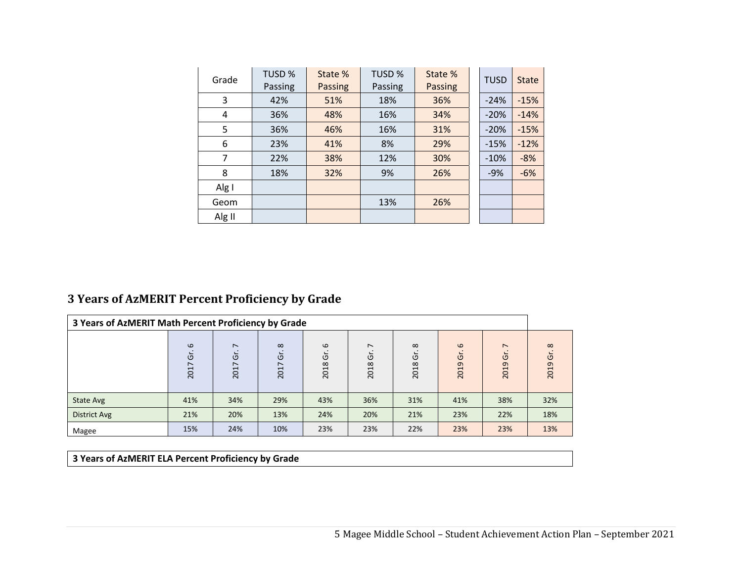| Grade  | TUSD <sub>%</sub><br>Passing | State %<br><b>Passing</b> | TUSD %<br>Passing | State %<br><b>Passing</b> | <b>TUSD</b> | <b>State</b> |
|--------|------------------------------|---------------------------|-------------------|---------------------------|-------------|--------------|
| 3      | 42%                          | 51%                       | 18%               | 36%                       | $-24%$      | $-15%$       |
| 4      | 36%                          | 48%                       | 16%               | 34%                       | $-20%$      | $-14%$       |
| 5      | 36%                          | 46%                       | 16%               | 31%                       | $-20%$      | $-15%$       |
| 6      | 23%                          | 41%                       | 8%                | 29%                       | $-15%$      | $-12%$       |
| 7      | 22%                          | 38%                       | 12%               | 30%                       | $-10%$      | $-8%$        |
| 8      | 18%                          | 32%                       | 9%                | 26%                       | $-9%$       | $-6%$        |
| Alg I  |                              |                           |                   |                           |             |              |
| Geom   |                              |                           | 13%               | 26%                       |             |              |
| Alg II |                              |                           |                   |                           |             |              |

#### **3 Years of AzMERIT Percent Proficiency by Grade**

| 3 Years of AzMERIT Math Percent Proficiency by Grade |                       |                         |                        |                       |                                       |                        |                                    |                                                    |                                         |
|------------------------------------------------------|-----------------------|-------------------------|------------------------|-----------------------|---------------------------------------|------------------------|------------------------------------|----------------------------------------------------|-----------------------------------------|
|                                                      | $\omega$<br>Ġ<br>2017 | $\sim$<br>ত<br>∼<br>201 | $\infty$<br>Ġ.<br>2017 | $\omega$<br>Ġ<br>2018 | $\overline{\phantom{0}}$<br>O<br>2018 | $\infty$<br>ຮັ<br>2018 | $\omega$<br>$\overline{G}$<br>2019 | $\overline{\phantom{0}}$<br>$\overline{G}$<br>2019 | $\infty$<br>$\overleftarrow{G}$<br>2019 |
| State Avg                                            | 41%                   | 34%                     | 29%                    | 43%                   | 36%                                   | 31%                    | 41%                                | 38%                                                | 32%                                     |
| <b>District Avg</b>                                  | 21%                   | 20%                     | 13%                    | 24%                   | 20%                                   | 21%                    | 23%                                | 22%                                                | 18%                                     |
| Magee                                                | 15%                   | 24%                     | 10%                    | 23%                   | 23%                                   | 22%                    | 23%                                | 23%                                                | 13%                                     |

**3 Years of AzMERIT ELA Percent Proficiency by Grade**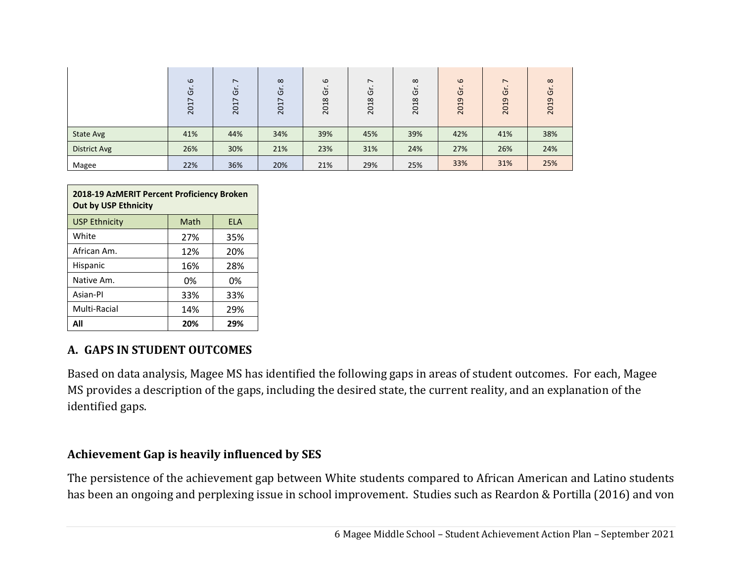|                     | $\omega$<br>Ğ<br>2017 | $\overline{ }$<br>O<br>∼<br>⊣<br>20 | $\infty$<br>O<br>∼<br>201 | $\omega$<br>O<br>2018 | $\overline{\phantom{0}}$<br>O<br>$\infty$<br>201 | $\infty$<br>O<br>2018 | $\omega$<br>O<br>2019 | $\overline{\phantom{0}}$<br>U<br>$\sigma$<br>201 | $\infty$<br>U<br>2019 |
|---------------------|-----------------------|-------------------------------------|---------------------------|-----------------------|--------------------------------------------------|-----------------------|-----------------------|--------------------------------------------------|-----------------------|
| State Avg           | 41%                   | 44%                                 | 34%                       | 39%                   | 45%                                              | 39%                   | 42%                   | 41%                                              | 38%                   |
| <b>District Avg</b> | 26%                   | 30%                                 | 21%                       | 23%                   | 31%                                              | 24%                   | 27%                   | 26%                                              | 24%                   |
| Magee               | 22%                   | 36%                                 | 20%                       | 21%                   | 29%                                              | 25%                   | 33%                   | 31%                                              | 25%                   |

| 2018-19 AzMERIT Percent Proficiency Broken<br><b>Out by USP Ethnicity</b> |     |     |  |  |  |  |
|---------------------------------------------------------------------------|-----|-----|--|--|--|--|
| Math<br><b>USP Ethnicity</b><br><b>ELA</b>                                |     |     |  |  |  |  |
| White                                                                     | 27% | 35% |  |  |  |  |
| African Am.                                                               | 12% | 20% |  |  |  |  |
| Hispanic                                                                  | 16% | 28% |  |  |  |  |
| Native Am.                                                                | 0%  | 0%  |  |  |  |  |
| Asian-Pl                                                                  | 33% | 33% |  |  |  |  |
| Multi-Racial<br>29%<br>14%                                                |     |     |  |  |  |  |
| All                                                                       | 20% | 29% |  |  |  |  |

## **A. GAPS IN STUDENT OUTCOMES**

Based on data analysis, Magee MS has identified the following gaps in areas of student outcomes. For each, Magee MS provides a description of the gaps, including the desired state, the current reality, and an explanation of the identified gaps.

#### **Achievement Gap is heavily influenced by SES**

The persistence of the achievement gap between White students compared to African American and Latino students has been an ongoing and perplexing issue in school improvement. Studies such as Reardon & Portilla (2016) and von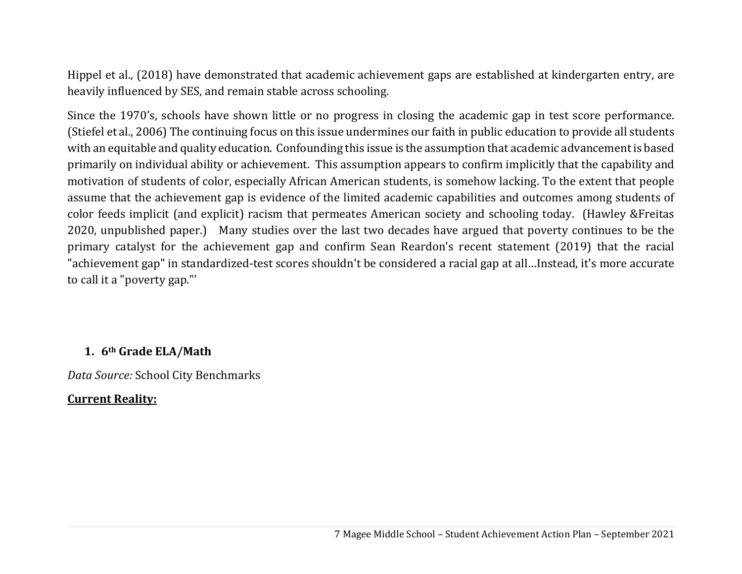Hippel et al., (2018) have demonstrated that academic achievement gaps are established at kindergarten entry, are heavily influenced by SES, and remain stable across schooling.

Since the 1970's, schools have shown little or no progress in closing the academic gap in test score performance. (Stiefel et al., 2006) The continuing focus on this issue undermines our faith in public education to provide all students with an equitable and quality education. Confounding this issue is the assumption that academic advancement is based primarily on individual ability or achievement. This assumption appears to confirm implicitly that the capability and motivation of students of color, especially African American students, is somehow lacking. To the extent that people assume that the achievement gap is evidence of the limited academic capabilities and outcomes among students of color feeds implicit (and explicit) racism that permeates American society and schooling today. (Hawley &Freitas 2020, unpublished paper.) Many studies over the last two decades have argued that poverty continues to be the primary catalyst for the achievement gap and confirm Sean Reardon's recent statement (2019) that the racial "achievement gap" in standardized-test scores shouldn't be considered a racial gap at all…Instead, it's more accurate to call it a "poverty gap."'

## **1. 6th Grade ELA/Math**

*Data Source:* School City Benchmarks

## **Current Reality:**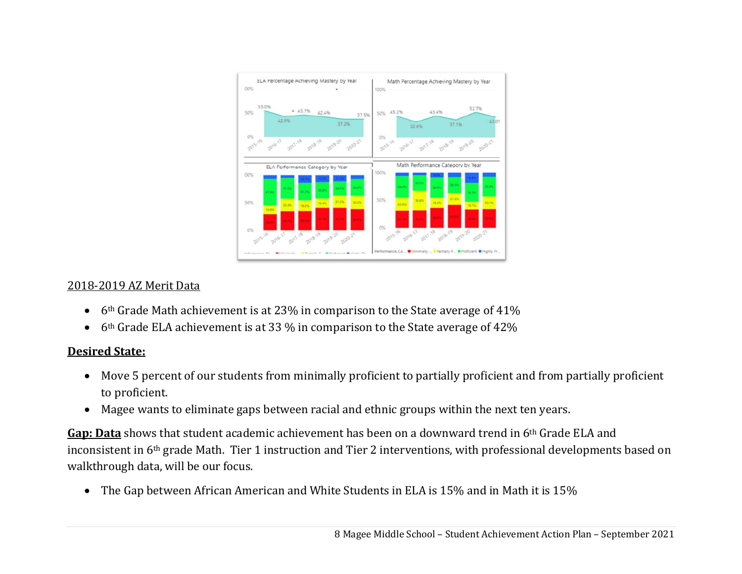

## 2018-2019 AZ Merit Data

- $\bullet$ 6th Grade Math achievement is at 23% in comparison to the State average of 41%
- $\bullet$ 6th Grade ELA achievement is at 33 % in comparison to the State average of 42%

## **Desired State:**

- $\bullet$  Move 5 percent of our students from minimally proficient to partially proficient and from partially proficient to proficient.
- $\bullet$ Magee wants to eliminate gaps between racial and ethnic groups within the next ten years.

**Gap: Data** shows that student academic achievement has been on a downward trend in 6th Grade ELA and inconsistent in 6th grade Math. Tier 1 instruction and Tier 2 interventions, with professional developments based on walkthrough data, will be our focus.

 $\bullet$ The Gap between African American and White Students in ELA is 15% and in Math it is 15%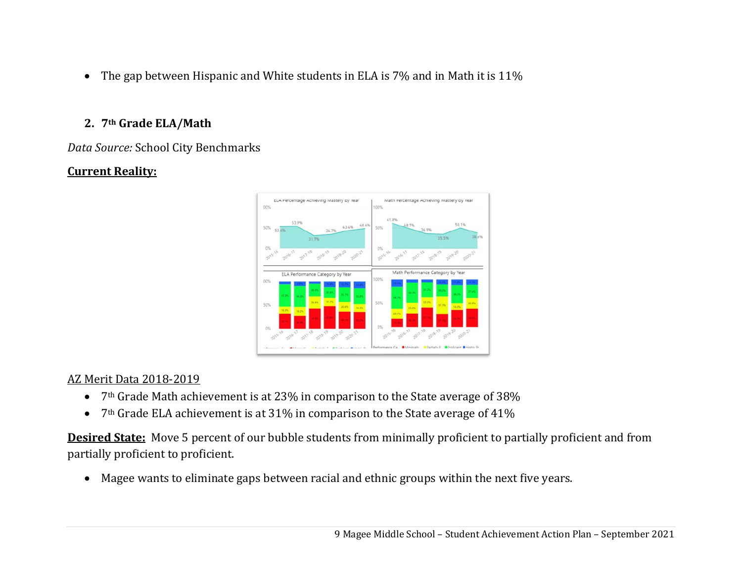$\bullet$  The gap between Hispanic and White students in ELA is 7% and in Math it is 11%

# **2. 7th Grade ELA/Math**

*Data Source:* School City Benchmarks

# **Current Reality:**



# AZ Merit Data 2018-2019

- $\bullet$  7<sup>th</sup> Grade Math achievement is at 23% in comparison to the State average of 38%
- $\bullet$ 7th Grade ELA achievement is at 31% in comparison to the State average of 41%

**Desired State:** Move 5 percent of our bubble students from minimally proficient to partially proficient and from partially proficient to proficient.

 $\bullet$ Magee wants to eliminate gaps between racial and ethnic groups within the next five years.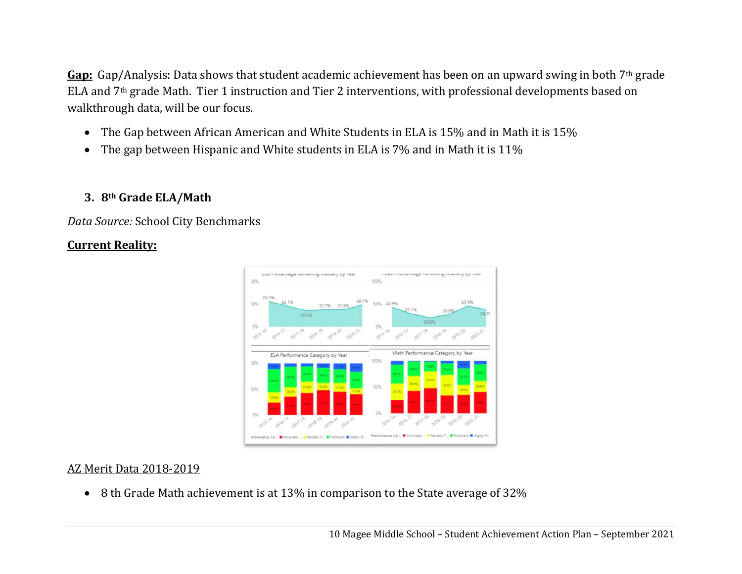**Gap:** Gap/Analysis: Data shows that student academic achievement has been on an upward swing in both 7th grade ELA and 7th grade Math. Tier 1 instruction and Tier 2 interventions, with professional developments based on walkthrough data, will be our focus.

- $\bullet$ The Gap between African American and White Students in ELA is 15% and in Math it is 15%
- $\bullet$ The gap between Hispanic and White students in ELA is 7% and in Math it is 11%

## **3. 8th Grade ELA/Math**

*Data Source:* School City Benchmarks

## **Current Reality:**



## AZ Merit Data 2018-2019

8 th Grade Math achievement is at 13% in comparison to the State average of 32%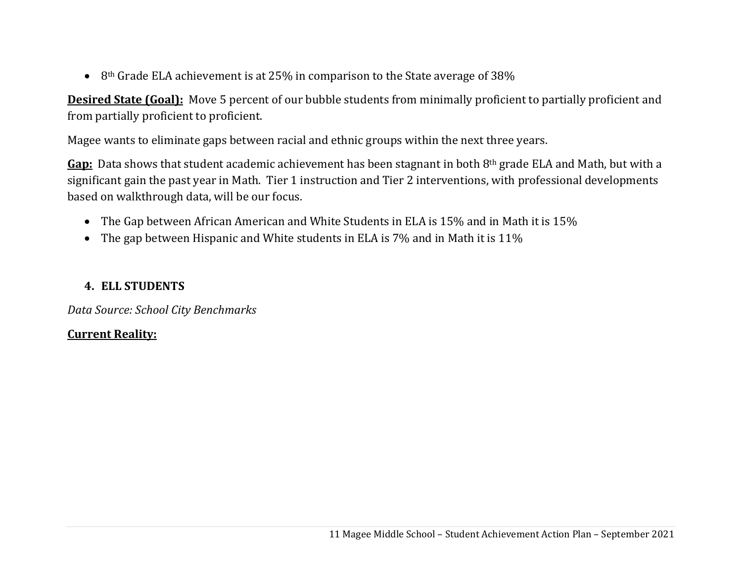$\bullet$  8<sup>th</sup> Grade ELA achievement is at 25% in comparison to the State average of 38%

**Desired State (Goal):** Move 5 percent of our bubble students from minimally proficient to partially proficient and from partially proficient to proficient.

Magee wants to eliminate gaps between racial and ethnic groups within the next three years.

**Gap:** Data shows that student academic achievement has been stagnant in both 8th grade ELA and Math, but with a significant gain the past year in Math. Tier 1 instruction and Tier 2 interventions, with professional developments based on walkthrough data, will be our focus.

- $\bullet$  The Gap between African American and White Students in ELA is 15% and in Math it is 15%
- $\bullet$  The gap between Hispanic and White students in ELA is 7% and in Math it is 11%

## **4. ELL STUDENTS**

*Data Source: School City Benchmarks*

## **Current Reality:**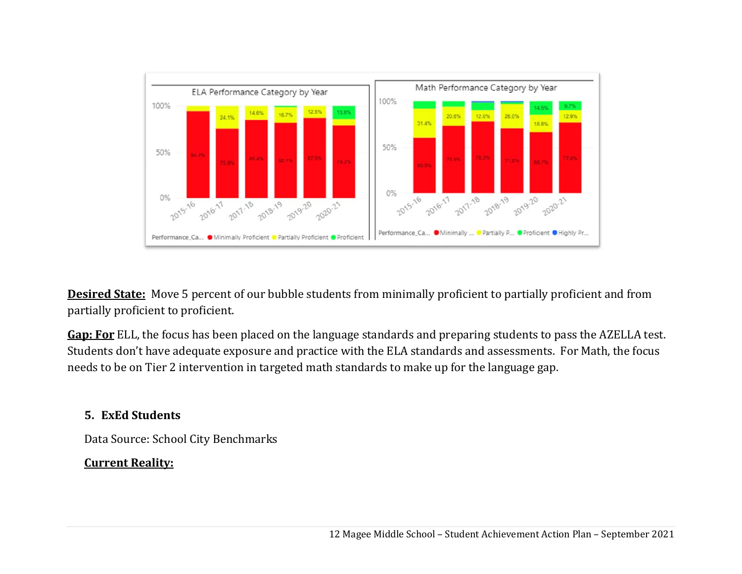

**Desired State:** Move 5 percent of our bubble students from minimally proficient to partially proficient and from partially proficient to proficient.

**Gap: For** ELL, the focus has been placed on the language standards and preparing students to pass the AZELLA test. Students don't have adequate exposure and practice with the ELA standards and assessments. For Math, the focus needs to be on Tier 2 intervention in targeted math standards to make up for the language gap.

# **5. ExEd Students**

Data Source: School City Benchmarks

# **Current Reality:**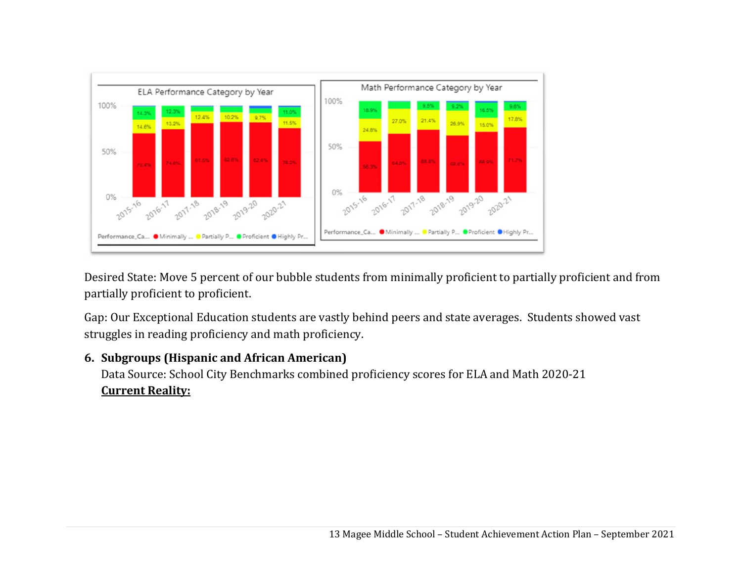

Desired State: Move 5 percent of our bubble students from minimally proficient to partially proficient and from partially proficient to proficient.

Gap: Our Exceptional Education students are vastly behind peers and state averages. Students showed vast struggles in reading proficiency and math proficiency.

# **6. Subgroups (Hispanic and African American)**

Data Source: School City Benchmarks combined proficiency scores for ELA and Math 2020-21 **Current Reality:**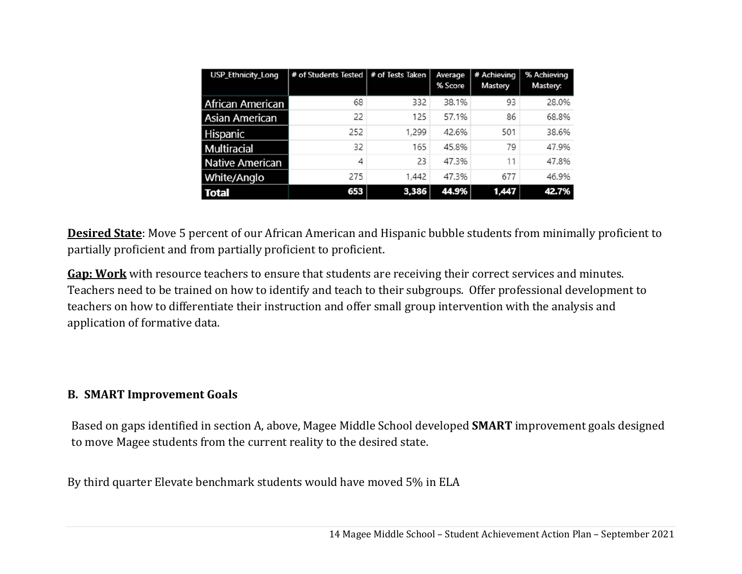| <b>USP_Ethnicity_Long</b> | # of Students Tested   # of Tests Taken |       | Average<br>% Score | # Achieving<br>Mastery | % Achieving<br>Mastery: |
|---------------------------|-----------------------------------------|-------|--------------------|------------------------|-------------------------|
| <b>African American</b>   | 68                                      | 332   | 38.1%              | 93                     | 28.0%                   |
| <b>Asian American</b>     | 22                                      | 125   | 57.1%              | 86                     | 68.8%                   |
| Hispanic                  | 252                                     | 1,299 | 42.6%              | 501                    | 38.6%                   |
| Multiracial               | 32                                      | 165   | 45.8%              | 79                     | 47.9%                   |
| Native American           | 4                                       | 23    | 47.3%              | 11                     | 47.8%                   |
| White/Anglo               | 275                                     | 1,442 | 47.3%              | 677                    | 46.9%                   |
| <b>Total</b>              | 653                                     | 3,386 | 44.9%              | 1,447                  | 42.7%                   |

**Desired State**: Move 5 percent of our African American and Hispanic bubble students from minimally proficient to partially proficient and from partially proficient to proficient.

**Gap: Work** with resource teachers to ensure that students are receiving their correct services and minutes. Teachers need to be trained on how to identify and teach to their subgroups. Offer professional development to teachers on how to differentiate their instruction and offer small group intervention with the analysis and application of formative data.

## **B. SMART Improvement Goals**

Based on gaps identified in section A, above, Magee Middle School developed **SMART** improvement goals designed to move Magee students from the current reality to the desired state.

By third quarter Elevate benchmark students would have moved 5% in ELA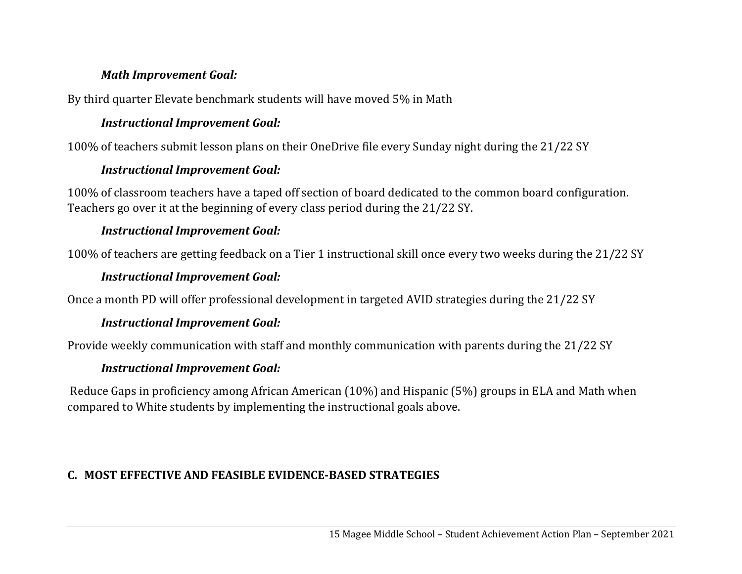## *Math Improvement Goal:*

By third quarter Elevate benchmark students will have moved 5% in Math

## *Instructional Improvement Goal:*

100% of teachers submit lesson plans on their OneDrive file every Sunday night during the 21/22 SY

## *Instructional Improvement Goal:*

100% of classroom teachers have a taped off section of board dedicated to the common board configuration. Teachers go over it at the beginning of every class period during the 21/22 SY.

## *Instructional Improvement Goal:*

100% of teachers are getting feedback on a Tier 1 instructional skill once every two weeks during the 21/22 SY

## *Instructional Improvement Goal:*

Once a month PD will offer professional development in targeted AVID strategies during the 21/22 SY

## *Instructional Improvement Goal:*

Provide weekly communication with staff and monthly communication with parents during the 21/22 SY

## *Instructional Improvement Goal:*

 Reduce Gaps in proficiency among African American (10%) and Hispanic (5%) groups in ELA and Math when compared to White students by implementing the instructional goals above.

# **C. MOST EFFECTIVE AND FEASIBLE EVIDENCE‐BASED STRATEGIES**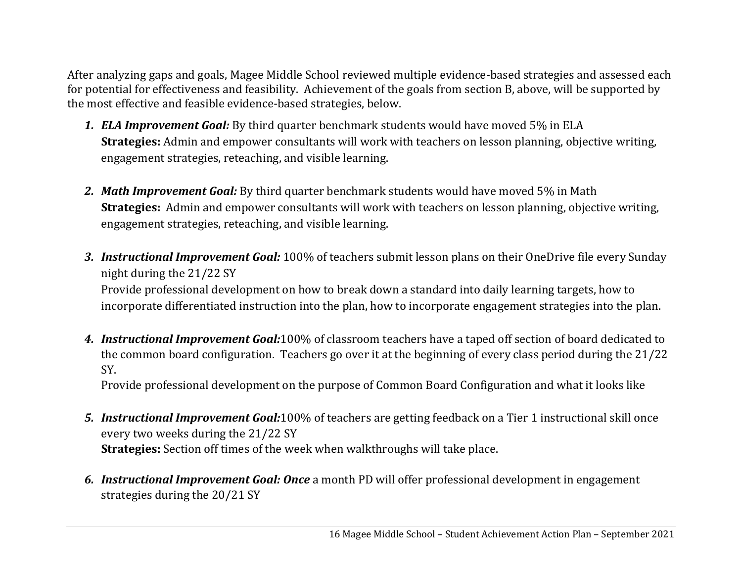After analyzing gaps and goals, Magee Middle School reviewed multiple evidence-based strategies and assessed each for potential for effectiveness and feasibility. Achievement of the goals from section B, above, will be supported by the most effective and feasible evidence-based strategies, below.

- *1. ELA Improvement Goal:* By third quarter benchmark students would have moved 5% in ELA **Strategies:** Admin and empower consultants will work with teachers on lesson planning, objective writing, engagement strategies, reteaching, and visible learning.
- *2. Math Improvement Goal:* By third quarter benchmark students would have moved 5% in Math **Strategies:** Admin and empower consultants will work with teachers on lesson planning, objective writing, engagement strategies, reteaching, and visible learning.
- *3. Instructional Improvement Goal:* 100% of teachers submit lesson plans on their OneDrive file every Sunday night during the 21/22 SY Provide professional development on how to break down a standard into daily learning targets, how to incorporate differentiated instruction into the plan, how to incorporate engagement strategies into the plan.
- *4. Instructional Improvement Goal:*100% of classroom teachers have a taped off section of board dedicated to the common board configuration. Teachers go over it at the beginning of every class period during the 21/22 SY.

Provide professional development on the purpose of Common Board Configuration and what it looks like

- *5. Instructional Improvement Goal:*100% of teachers are getting feedback on a Tier 1 instructional skill once every two weeks during the 21/22 SY **Strategies:** Section off times of the week when walkthroughs will take place.
- *6. Instructional Improvement Goal: Once* a month PD will offer professional development in engagement strategies during the 20/21 SY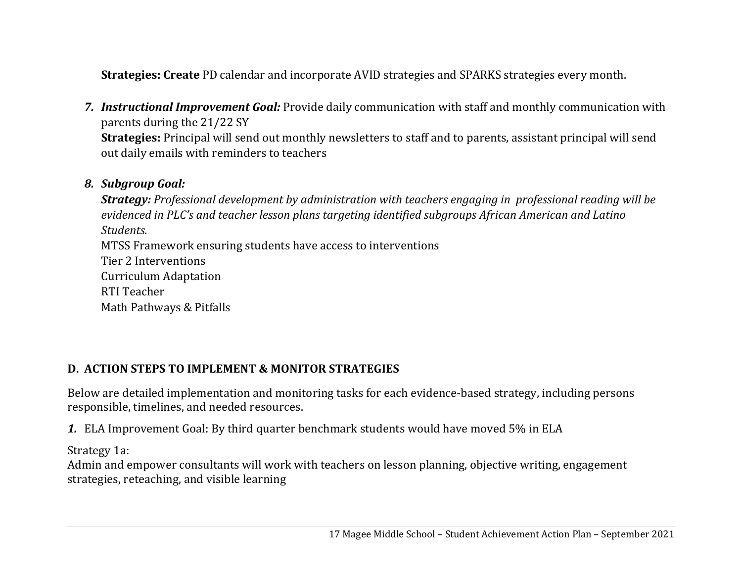**Strategies: Create** PD calendar and incorporate AVID strategies and SPARKS strategies every month.

*7. Instructional Improvement Goal:* Provide daily communication with staff and monthly communication with parents during the 21/22 SY **Strategies:** Principal will send out monthly newsletters to staff and to parents, assistant principal will send out daily emails with reminders to teachers

## *8. Subgroup Goal:*

*Strategy: Professional development by administration with teachers engaging in professional reading will be evidenced in PLC's and teacher lesson plans targeting identified subgroups African American and Latino Students.*MTSS Framework ensuring students have access to interventions Tier 2 Interventions Curriculum Adaptation RTI Teacher Math Pathways & Pitfalls

# **D. ACTION STEPS TO IMPLEMENT & MONITOR STRATEGIES**

Below are detailed implementation and monitoring tasks for each evidence-based strategy, including persons responsible, timelines, and needed resources.

*1.* ELA Improvement Goal: By third quarter benchmark students would have moved 5% in ELA

Strategy 1a:

Admin and empower consultants will work with teachers on lesson planning, objective writing, engagement strategies, reteaching, and visible learning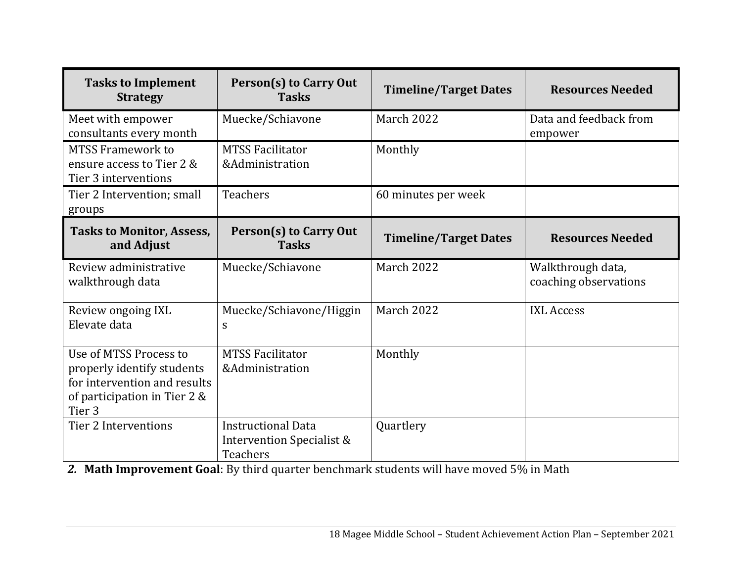| <b>Tasks to Implement</b><br><b>Strategy</b>                                                                                   | <b>Person(s) to Carry Out</b><br><b>Tasks</b>                             | <b>Timeline/Target Dates</b> | <b>Resources Needed</b>                    |
|--------------------------------------------------------------------------------------------------------------------------------|---------------------------------------------------------------------------|------------------------------|--------------------------------------------|
| Meet with empower<br>consultants every month                                                                                   | Muecke/Schiavone                                                          | <b>March 2022</b>            | Data and feedback from<br>empower          |
| <b>MTSS Framework to</b><br>ensure access to Tier 2 &<br>Tier 3 interventions                                                  | <b>MTSS Facilitator</b><br>&Administration                                | Monthly                      |                                            |
| Tier 2 Intervention; small<br>groups                                                                                           | <b>Teachers</b>                                                           | 60 minutes per week          |                                            |
| <b>Tasks to Monitor, Assess,</b><br>and Adjust                                                                                 | Person(s) to Carry Out<br><b>Tasks</b>                                    | <b>Timeline/Target Dates</b> | <b>Resources Needed</b>                    |
| Review administrative<br>walkthrough data                                                                                      | Muecke/Schiavone                                                          | March 2022                   | Walkthrough data,<br>coaching observations |
| Review ongoing IXL<br>Elevate data                                                                                             | Muecke/Schiavone/Higgin<br>S                                              | <b>March 2022</b>            | <b>IXL Access</b>                          |
| Use of MTSS Process to<br>properly identify students<br>for intervention and results<br>of participation in Tier 2 &<br>Tier 3 | <b>MTSS Facilitator</b><br>&Administration                                | Monthly                      |                                            |
| <b>Tier 2 Interventions</b>                                                                                                    | <b>Instructional Data</b><br>Intervention Specialist &<br><b>Teachers</b> | Quartlery                    |                                            |

*2.* **Math Improvement Goal**: By third quarter benchmark students will have moved 5% in Math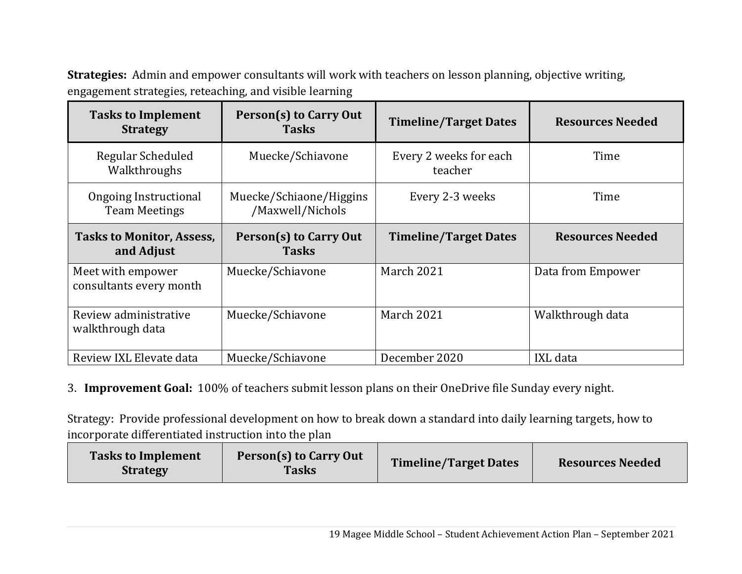**Strategies:** Admin and empower consultants will work with teachers on lesson planning, objective writing, engagement strategies, reteaching, and visible learning

| <b>Tasks to Implement</b><br><b>Strategy</b>   | Person(s) to Carry Out<br><b>Tasks</b>                         | <b>Timeline/Target Dates</b>      | <b>Resources Needed</b> |
|------------------------------------------------|----------------------------------------------------------------|-----------------------------------|-------------------------|
| Regular Scheduled<br>Walkthroughs              | Muecke/Schiavone                                               | Every 2 weeks for each<br>teacher | Time                    |
| Ongoing Instructional<br><b>Team Meetings</b>  | Muecke/Schiaone/Higgins<br>Every 2-3 weeks<br>/Maxwell/Nichols |                                   | Time                    |
| <b>Tasks to Monitor, Assess,</b><br>and Adjust | Person(s) to Carry Out<br><b>Tasks</b>                         | <b>Timeline/Target Dates</b>      | <b>Resources Needed</b> |
| Meet with empower<br>consultants every month   | Muecke/Schiavone                                               | March 2021                        | Data from Empower       |
| Review administrative<br>walkthrough data      | Muecke/Schiavone                                               | <b>March 2021</b>                 | Walkthrough data        |
| Review IXL Elevate data                        | Muecke/Schiavone                                               | December 2020                     | IXL data                |

3. **Improvement Goal:** 100% of teachers submit lesson plans on their OneDrive file Sunday every night.

Strategy: Provide professional development on how to break down a standard into daily learning targets, how to incorporate differentiated instruction into the plan

| <b>Tasks to Implement</b><br><b>Strategy</b> | Person(s) to Carry Out<br><b>Tasks</b> | <b>Timeline/Target Dates</b> | <b>Resources Needed</b> |
|----------------------------------------------|----------------------------------------|------------------------------|-------------------------|
|----------------------------------------------|----------------------------------------|------------------------------|-------------------------|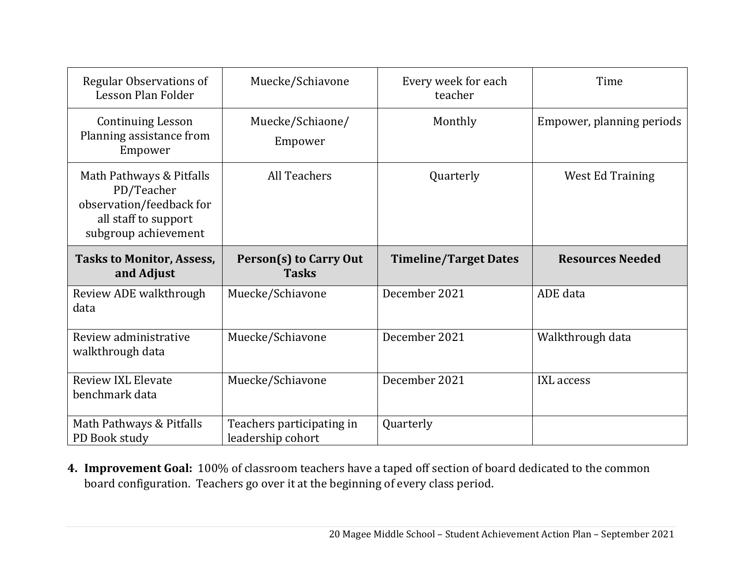| <b>Regular Observations of</b><br>Lesson Plan Folder                                                               | Muecke/Schiavone                               | Every week for each<br>teacher | Time                      |
|--------------------------------------------------------------------------------------------------------------------|------------------------------------------------|--------------------------------|---------------------------|
| <b>Continuing Lesson</b><br>Planning assistance from<br>Empower                                                    | Muecke/Schiaone/<br>Empower                    | Monthly                        | Empower, planning periods |
| Math Pathways & Pitfalls<br>PD/Teacher<br>observation/feedback for<br>all staff to support<br>subgroup achievement | <b>All Teachers</b>                            | Quarterly                      | <b>West Ed Training</b>   |
| <b>Tasks to Monitor, Assess,</b><br>and Adjust                                                                     | Person(s) to Carry Out<br><b>Tasks</b>         | <b>Timeline/Target Dates</b>   | <b>Resources Needed</b>   |
| Review ADE walkthrough<br>data                                                                                     | Muecke/Schiavone                               | December 2021                  | ADE data                  |
| Review administrative<br>walkthrough data                                                                          | Muecke/Schiavone                               | December 2021                  | Walkthrough data          |
| <b>Review IXL Elevate</b><br>benchmark data                                                                        | Muecke/Schiavone                               | December 2021                  | <b>IXL</b> access         |
| Math Pathways & Pitfalls<br>PD Book study                                                                          | Teachers participating in<br>leadership cohort | Quarterly                      |                           |

**4. Improvement Goal:** 100% of classroom teachers have a taped off section of board dedicated to the common board configuration. Teachers go over it at the beginning of every class period.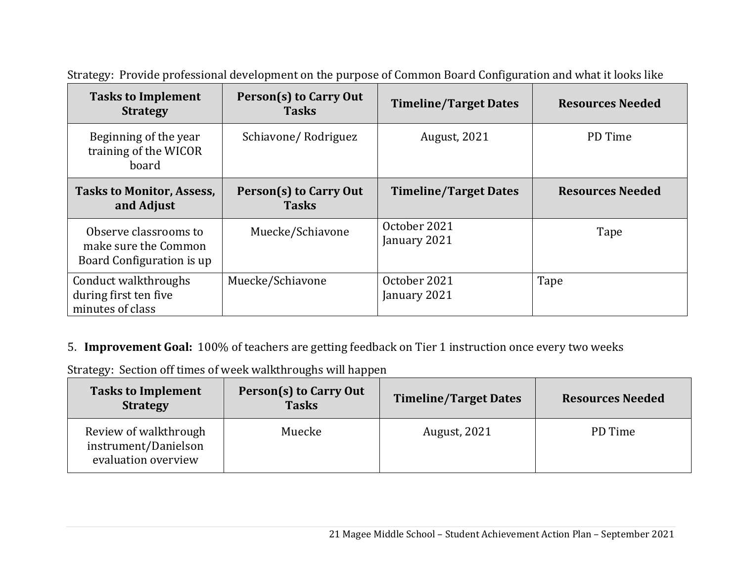| <b>Tasks to Implement</b><br><b>Strategy</b>                               | Person(s) to Carry Out<br><b>Tasks</b> | <b>Timeline/Target Dates</b> | <b>Resources Needed</b> |
|----------------------------------------------------------------------------|----------------------------------------|------------------------------|-------------------------|
| Beginning of the year<br>training of the WICOR<br>board                    | Schiavone/Rodriguez                    | <b>August, 2021</b>          | PD Time                 |
| <b>Tasks to Monitor, Assess,</b><br>and Adjust                             | Person(s) to Carry Out<br><b>Tasks</b> | <b>Timeline/Target Dates</b> | <b>Resources Needed</b> |
| Observe classrooms to<br>make sure the Common<br>Board Configuration is up | Muecke/Schiavone                       | October 2021<br>January 2021 | Tape                    |
| Conduct walkthroughs<br>during first ten five<br>minutes of class          | Muecke/Schiavone                       | October 2021<br>January 2021 | Tape                    |

Strategy: Provide professional development on the purpose of Common Board Configuration and what it looks like

# 5. **Improvement Goal:** 100% of teachers are getting feedback on Tier 1 instruction once every two weeks

Strategy: Section off times of week walkthroughs will happen

| <b>Tasks to Implement</b><br><b>Strategy</b>                         | Person(s) to Carry Out<br><b>Tasks</b> | <b>Timeline/Target Dates</b> | <b>Resources Needed</b> |
|----------------------------------------------------------------------|----------------------------------------|------------------------------|-------------------------|
| Review of walkthrough<br>instrument/Danielson<br>evaluation overview | Muecke                                 | <b>August, 2021</b>          | PD Time                 |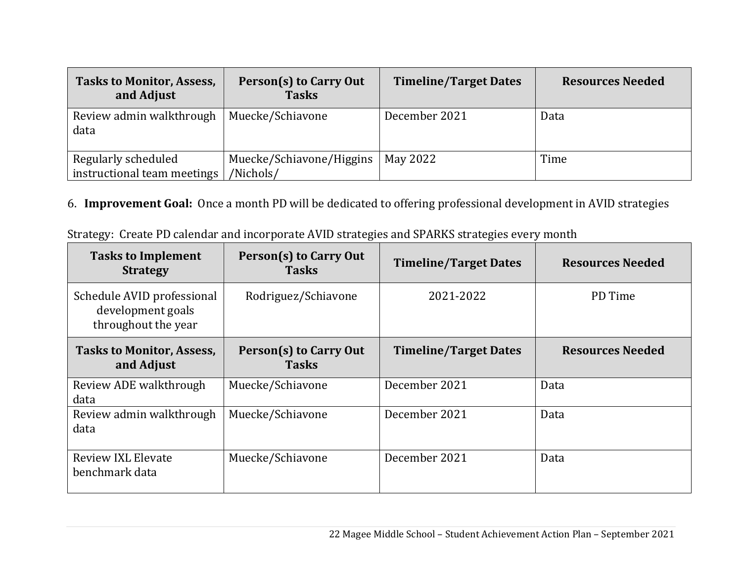| <b>Tasks to Monitor, Assess,</b><br>and Adjust     | Person(s) to Carry Out<br><b>Tasks</b> | <b>Timeline/Target Dates</b> | <b>Resources Needed</b> |
|----------------------------------------------------|----------------------------------------|------------------------------|-------------------------|
| Review admin walkthrough<br>data                   | Muecke/Schiavone                       | December 2021                | Data                    |
| Regularly scheduled<br>instructional team meetings | Muecke/Schiavone/Higgins<br>/Nichols/  | May 2022                     | Time                    |

# 6. **Improvement Goal:** Once a month PD will be dedicated to offering professional development in AVID strategies

| Strategy: Create PD calendar and incorporate AVID strategies and SPARKS strategies every month |
|------------------------------------------------------------------------------------------------|
|------------------------------------------------------------------------------------------------|

| <b>Tasks to Implement</b><br><b>Strategy</b>                           | Person(s) to Carry Out<br><b>Tasks</b> | <b>Timeline/Target Dates</b> | <b>Resources Needed</b> |
|------------------------------------------------------------------------|----------------------------------------|------------------------------|-------------------------|
| Schedule AVID professional<br>development goals<br>throughout the year | Rodriguez/Schiavone                    | 2021-2022                    | PD Time                 |
| <b>Tasks to Monitor, Assess,</b><br>and Adjust                         | Person(s) to Carry Out<br><b>Tasks</b> | <b>Timeline/Target Dates</b> | <b>Resources Needed</b> |
| Review ADE walkthrough<br>data                                         | Muecke/Schiavone                       | December 2021                | Data                    |
| Review admin walkthrough<br>data                                       | Muecke/Schiavone                       | December 2021                | Data                    |
| <b>Review IXL Elevate</b><br>benchmark data                            | Muecke/Schiavone                       | December 2021                | Data                    |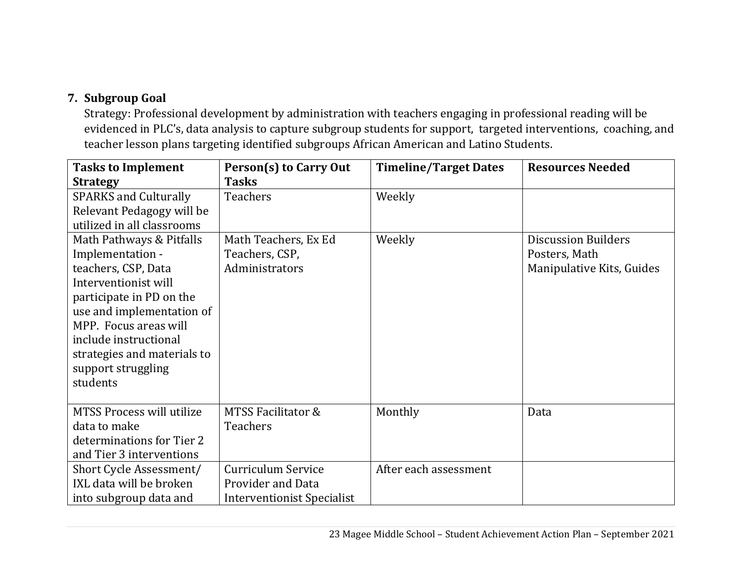# **7. Subgroup Goal**

Strategy: Professional development by administration with teachers engaging in professional reading will be evidenced in PLC's, data analysis to capture subgroup students for support, targeted interventions, coaching, and teacher lesson plans targeting identified subgroups African American and Latino Students.

| <b>Tasks to Implement</b>    | Person(s) to Carry Out     | <b>Timeline/Target Dates</b> | <b>Resources Needed</b>    |
|------------------------------|----------------------------|------------------------------|----------------------------|
| <b>Strategy</b>              | <b>Tasks</b>               |                              |                            |
| <b>SPARKS and Culturally</b> | <b>Teachers</b>            | Weekly                       |                            |
| Relevant Pedagogy will be    |                            |                              |                            |
| utilized in all classrooms   |                            |                              |                            |
| Math Pathways & Pitfalls     | Math Teachers, Ex Ed       | Weekly                       | <b>Discussion Builders</b> |
| Implementation -             | Teachers, CSP,             |                              | Posters, Math              |
| teachers, CSP, Data          | Administrators             |                              | Manipulative Kits, Guides  |
| Interventionist will         |                            |                              |                            |
| participate in PD on the     |                            |                              |                            |
| use and implementation of    |                            |                              |                            |
| MPP. Focus areas will        |                            |                              |                            |
| include instructional        |                            |                              |                            |
| strategies and materials to  |                            |                              |                            |
| support struggling           |                            |                              |                            |
| students                     |                            |                              |                            |
|                              |                            |                              |                            |
| MTSS Process will utilize    | MTSS Facilitator &         | Monthly                      | Data                       |
| data to make                 | <b>Teachers</b>            |                              |                            |
| determinations for Tier 2    |                            |                              |                            |
| and Tier 3 interventions     |                            |                              |                            |
| Short Cycle Assessment/      | Curriculum Service         | After each assessment        |                            |
| IXL data will be broken      | Provider and Data          |                              |                            |
| into subgroup data and       | Interventionist Specialist |                              |                            |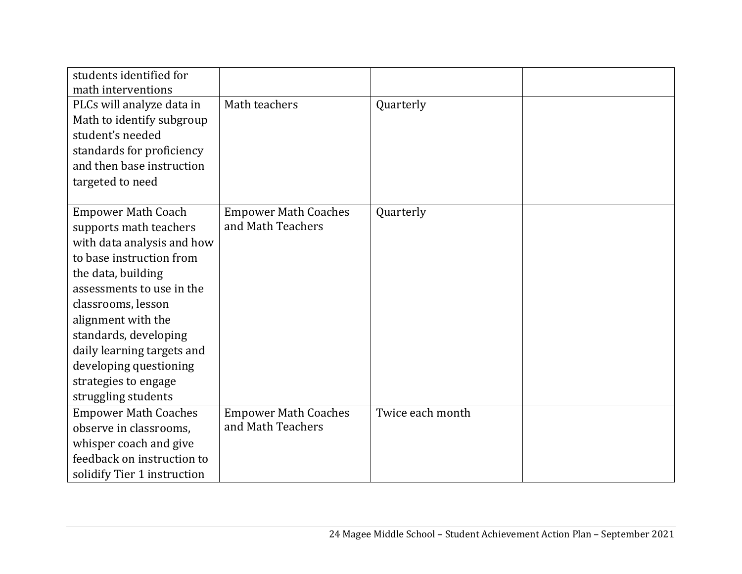| students identified for     |                             |                  |  |
|-----------------------------|-----------------------------|------------------|--|
| math interventions          |                             |                  |  |
| PLCs will analyze data in   | Math teachers               | Quarterly        |  |
| Math to identify subgroup   |                             |                  |  |
| student's needed            |                             |                  |  |
| standards for proficiency   |                             |                  |  |
| and then base instruction   |                             |                  |  |
| targeted to need            |                             |                  |  |
|                             |                             |                  |  |
| <b>Empower Math Coach</b>   | <b>Empower Math Coaches</b> | Quarterly        |  |
| supports math teachers      | and Math Teachers           |                  |  |
| with data analysis and how  |                             |                  |  |
| to base instruction from    |                             |                  |  |
| the data, building          |                             |                  |  |
| assessments to use in the   |                             |                  |  |
| classrooms, lesson          |                             |                  |  |
| alignment with the          |                             |                  |  |
| standards, developing       |                             |                  |  |
| daily learning targets and  |                             |                  |  |
| developing questioning      |                             |                  |  |
| strategies to engage        |                             |                  |  |
| struggling students         |                             |                  |  |
| <b>Empower Math Coaches</b> | <b>Empower Math Coaches</b> | Twice each month |  |
| observe in classrooms,      | and Math Teachers           |                  |  |
| whisper coach and give      |                             |                  |  |
| feedback on instruction to  |                             |                  |  |
| solidify Tier 1 instruction |                             |                  |  |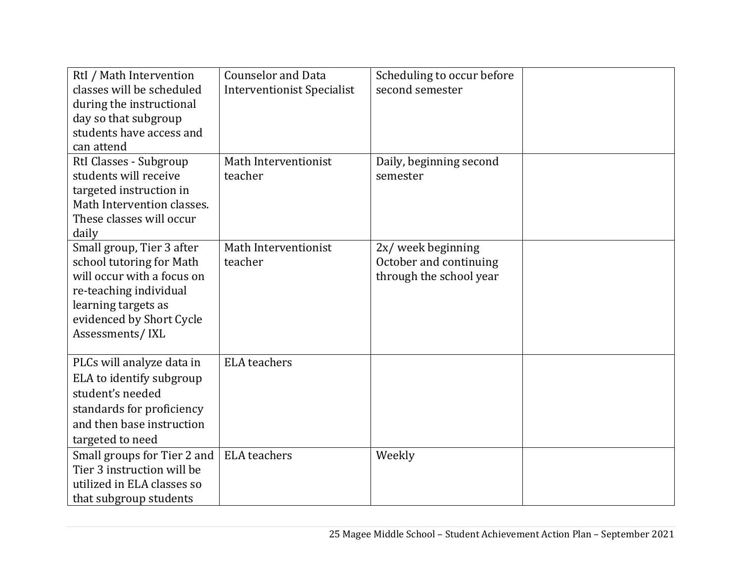| RtI / Math Intervention<br>classes will be scheduled<br>during the instructional<br>day so that subgroup<br>students have access and<br>can attend                                  | <b>Counselor and Data</b><br><b>Interventionist Specialist</b> | Scheduling to occur before<br>second semester                           |  |
|-------------------------------------------------------------------------------------------------------------------------------------------------------------------------------------|----------------------------------------------------------------|-------------------------------------------------------------------------|--|
| RtI Classes - Subgroup<br>students will receive<br>targeted instruction in<br>Math Intervention classes.<br>These classes will occur<br>daily                                       | Math Interventionist<br>teacher                                | Daily, beginning second<br>semester                                     |  |
| Small group, Tier 3 after<br>school tutoring for Math<br>will occur with a focus on<br>re-teaching individual<br>learning targets as<br>evidenced by Short Cycle<br>Assessments/IXL | Math Interventionist<br>teacher                                | 2x/ week beginning<br>October and continuing<br>through the school year |  |
| PLCs will analyze data in<br>ELA to identify subgroup<br>student's needed<br>standards for proficiency<br>and then base instruction<br>targeted to need                             | <b>ELA</b> teachers                                            |                                                                         |  |
| Small groups for Tier 2 and<br>Tier 3 instruction will be<br>utilized in ELA classes so<br>that subgroup students                                                                   | <b>ELA</b> teachers                                            | Weekly                                                                  |  |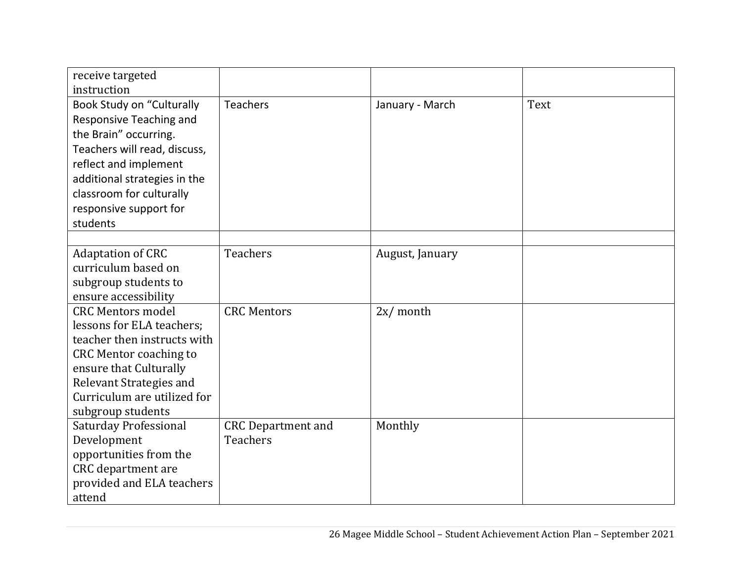| receive targeted<br>instruction                                                                                                                                                                                                                 |                                              |                 |      |
|-------------------------------------------------------------------------------------------------------------------------------------------------------------------------------------------------------------------------------------------------|----------------------------------------------|-----------------|------|
| <b>Book Study on "Culturally</b><br>Responsive Teaching and<br>the Brain" occurring.<br>Teachers will read, discuss,<br>reflect and implement<br>additional strategies in the<br>classroom for culturally<br>responsive support for<br>students | <b>Teachers</b>                              | January - March | Text |
|                                                                                                                                                                                                                                                 |                                              |                 |      |
| <b>Adaptation of CRC</b><br>curriculum based on<br>subgroup students to<br>ensure accessibility                                                                                                                                                 | <b>Teachers</b>                              | August, January |      |
| <b>CRC Mentors model</b><br>lessons for ELA teachers;<br>teacher then instructs with<br><b>CRC Mentor coaching to</b><br>ensure that Culturally<br>Relevant Strategies and<br>Curriculum are utilized for<br>subgroup students                  | <b>CRC Mentors</b>                           | $2x/m$ onth     |      |
| <b>Saturday Professional</b><br>Development<br>opportunities from the<br>CRC department are<br>provided and ELA teachers<br>attend                                                                                                              | <b>CRC</b> Department and<br><b>Teachers</b> | Monthly         |      |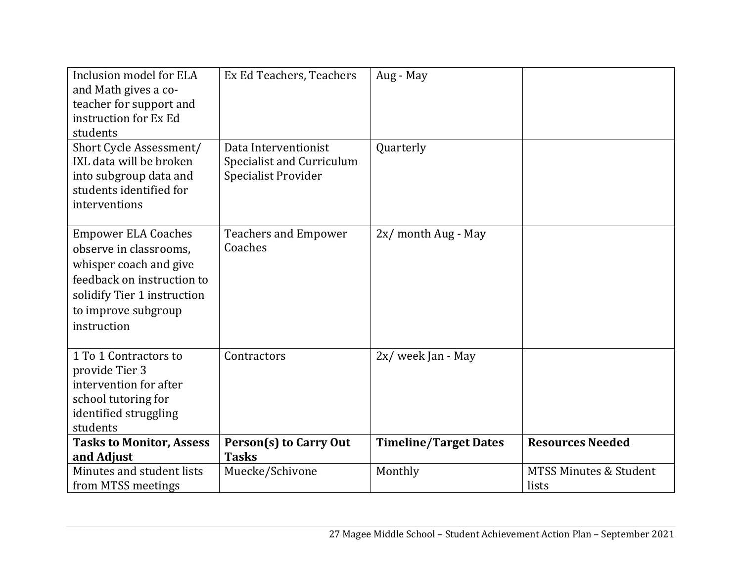| Inclusion model for ELA<br>and Math gives a co-<br>teacher for support and<br>instruction for Ex Ed<br>students                                                                   | Ex Ed Teachers, Teachers                                                        | Aug - May                    |                                            |
|-----------------------------------------------------------------------------------------------------------------------------------------------------------------------------------|---------------------------------------------------------------------------------|------------------------------|--------------------------------------------|
| Short Cycle Assessment/<br>IXL data will be broken<br>into subgroup data and<br>students identified for<br>interventions                                                          | Data Interventionist<br><b>Specialist and Curriculum</b><br>Specialist Provider | Quarterly                    |                                            |
| <b>Empower ELA Coaches</b><br>observe in classrooms,<br>whisper coach and give<br>feedback on instruction to<br>solidify Tier 1 instruction<br>to improve subgroup<br>instruction | <b>Teachers and Empower</b><br>Coaches                                          | 2x/ month Aug - May          |                                            |
| 1 To 1 Contractors to<br>provide Tier 3<br>intervention for after<br>school tutoring for<br>identified struggling<br>students                                                     | Contractors                                                                     | 2x/ week Jan - May           |                                            |
| <b>Tasks to Monitor, Assess</b><br>and Adjust                                                                                                                                     | Person(s) to Carry Out<br><b>Tasks</b>                                          | <b>Timeline/Target Dates</b> | <b>Resources Needed</b>                    |
| Minutes and student lists<br>from MTSS meetings                                                                                                                                   | Muecke/Schivone                                                                 | Monthly                      | <b>MTSS Minutes &amp; Student</b><br>lists |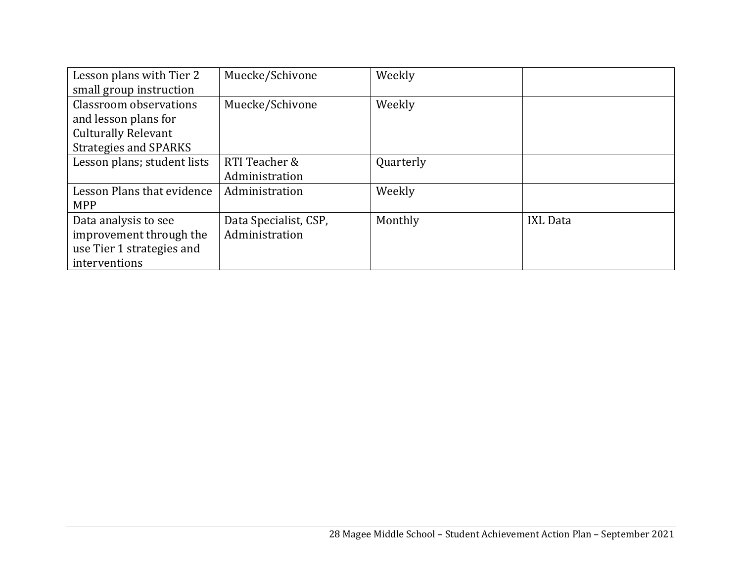| Lesson plans with Tier 2    | Muecke/Schivone       | Weekly    |                 |
|-----------------------------|-----------------------|-----------|-----------------|
| small group instruction     |                       |           |                 |
| Classroom observations      | Muecke/Schivone       | Weekly    |                 |
| and lesson plans for        |                       |           |                 |
| <b>Culturally Relevant</b>  |                       |           |                 |
| Strategies and SPARKS       |                       |           |                 |
| Lesson plans; student lists | RTI Teacher &         | Quarterly |                 |
|                             | Administration        |           |                 |
| Lesson Plans that evidence  | Administration        | Weekly    |                 |
| <b>MPP</b>                  |                       |           |                 |
| Data analysis to see        | Data Specialist, CSP, | Monthly   | <b>IXL Data</b> |
| improvement through the     | Administration        |           |                 |
| use Tier 1 strategies and   |                       |           |                 |
| interventions               |                       |           |                 |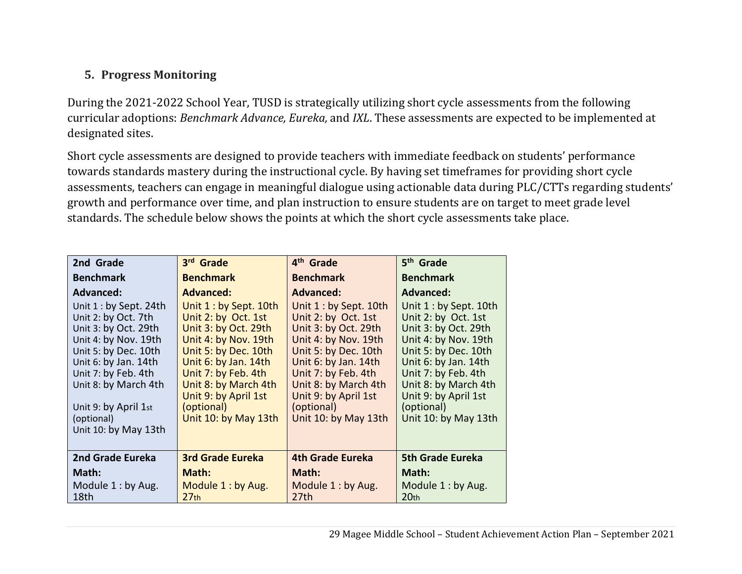# **5. Progress Monitoring**

During the 2021-2022 School Year, TUSD is strategically utilizing short cycle assessments from the following curricular adoptions: *Benchmark Advance, Eureka,* and *IXL*. These assessments are expected to be implemented at designated sites.

Short cycle assessments are designed to provide teachers with immediate feedback on students' performance towards standards mastery during the instructional cycle. By having set timeframes for providing short cycle assessments, teachers can engage in meaningful dialogue using actionable data during PLC/CTTs regarding students' growth and performance over time, and plan instruction to ensure students are on target to meet grade level standards. The schedule below shows the points at which the short cycle assessments take place.

| 2nd Grade               | 3rd Grade               | 4 <sup>th</sup> Grade   | 5 <sup>th</sup> Grade   |
|-------------------------|-------------------------|-------------------------|-------------------------|
| <b>Benchmark</b>        | <b>Benchmark</b>        | <b>Benchmark</b>        | <b>Benchmark</b>        |
| <b>Advanced:</b>        | <b>Advanced:</b>        | <b>Advanced:</b>        | <b>Advanced:</b>        |
| Unit $1:$ by Sept. 24th | Unit 1 : by Sept. 10th  | Unit 1 : by Sept. 10th  | Unit 1 : by Sept. 10th  |
| Unit 2: by Oct. 7th     | Unit 2: by Oct. 1st     | Unit 2: by Oct. 1st     | Unit 2: by Oct. 1st     |
| Unit 3: by Oct. 29th    | Unit 3: by Oct. 29th    | Unit 3: by Oct. 29th    | Unit 3: by Oct. 29th    |
| Unit 4: by Nov. 19th    | Unit 4: by Nov. 19th    | Unit 4: by Nov. 19th    | Unit 4: by Nov. 19th    |
| Unit 5: by Dec. 10th    | Unit 5: by Dec. 10th    | Unit 5: by Dec. 10th    | Unit 5: by Dec. 10th    |
| Unit 6: by Jan. 14th    | Unit 6: by Jan. 14th    | Unit 6: by Jan. 14th    | Unit 6: by Jan. 14th    |
| Unit 7: by Feb. 4th     | Unit 7: by Feb. 4th     | Unit 7: by Feb. 4th     | Unit 7: by Feb. 4th     |
| Unit 8: by March 4th    | Unit 8: by March 4th    | Unit 8: by March 4th    | Unit 8: by March 4th    |
|                         | Unit 9: by April 1st    | Unit 9: by April 1st    | Unit 9: by April 1st    |
| Unit 9: by April 1st    | (optional)              | (optional)              | (optional)              |
| (optional)              | Unit 10: by May 13th    | Unit 10: by May 13th    | Unit 10: by May 13th    |
| Unit 10: by May 13th    |                         |                         |                         |
|                         |                         |                         |                         |
| 2nd Grade Eureka        | <b>3rd Grade Eureka</b> | <b>4th Grade Eureka</b> | <b>5th Grade Eureka</b> |
| Math:                   | Math:                   | Math:                   | Math:                   |
| Module $1:$ by Aug.     | Module 1: by Aug.       | Module 1: by Aug.       | Module 1: by Aug.       |
| 18th                    | 27 <sub>th</sub>        | 27th                    | 20 <sub>th</sub>        |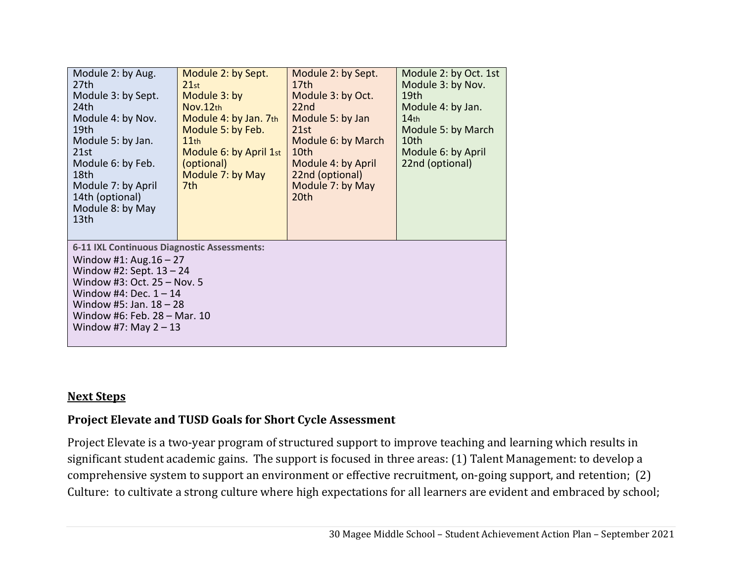| Module 2: by Aug.<br>27 <sub>th</sub><br>Module 3: by Sept.<br>24th<br>Module 4: by Nov.<br>19th<br>Module 5: by Jan.<br>21st<br>Module 6: by Feb.<br>18th<br>Module 7: by April<br>14th (optional)<br>Module 8: by May<br>13 <sub>th</sub>               | Module 2: by Sept.<br>21st<br>Module 3: by<br>Nov.12th<br>Module 4: by Jan. 7th<br>Module 5: by Feb.<br>11th<br>Module 6: by April 1st<br>(optional)<br>Module 7: by May<br>7th | Module 2: by Sept.<br>17 <sub>th</sub><br>Module 3: by Oct.<br>22 <sub>nd</sub><br>Module 5: by Jan<br>21st<br>Module 6: by March<br>10th<br>Module 4: by April<br>22nd (optional)<br>Module 7: by May<br>20th | Module 2: by Oct. 1st<br>Module 3: by Nov.<br>19 <sub>th</sub><br>Module 4: by Jan.<br>14 <sub>th</sub><br>Module 5: by March<br>10th<br>Module 6: by April<br>22nd (optional) |  |  |
|-----------------------------------------------------------------------------------------------------------------------------------------------------------------------------------------------------------------------------------------------------------|---------------------------------------------------------------------------------------------------------------------------------------------------------------------------------|----------------------------------------------------------------------------------------------------------------------------------------------------------------------------------------------------------------|--------------------------------------------------------------------------------------------------------------------------------------------------------------------------------|--|--|
| 6-11 IXL Continuous Diagnostic Assessments:<br>Window #1: Aug. $16 - 27$<br>Window #2: Sept. $13 - 24$<br>Window #3: Oct. 25 - Nov. 5<br>Window #4: Dec. $1 - 14$<br>Window #5: Jan. $18 - 28$<br>Window #6: Feb. 28 - Mar. 10<br>Window #7: May $2 - 13$ |                                                                                                                                                                                 |                                                                                                                                                                                                                |                                                                                                                                                                                |  |  |

#### **Next Steps**

# **Project Elevate and TUSD Goals for Short Cycle Assessment**

Project Elevate is a two-year program of structured support to improve teaching and learning which results in significant student academic gains. The support is focused in three areas: (1) Talent Management: to develop a comprehensive system to support an environment or effective recruitment, on-going support, and retention; (2) Culture: to cultivate a strong culture where high expectations for all learners are evident and embraced by school;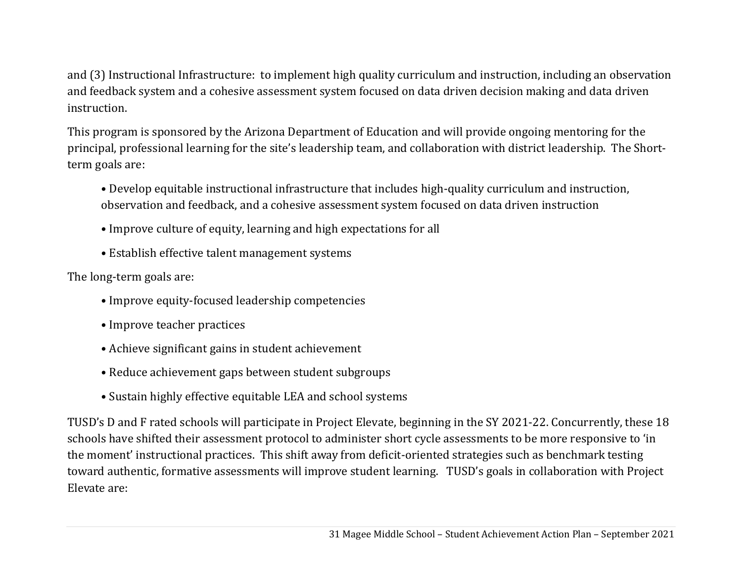and (3) Instructional Infrastructure: to implement high quality curriculum and instruction, including an observation and feedback system and a cohesive assessment system focused on data driven decision making and data driven instruction.

This program is sponsored by the Arizona Department of Education and will provide ongoing mentoring for the principal, professional learning for the site's leadership team, and collaboration with district leadership. The Shortterm goals are:

- Develop equitable instructional infrastructure that includes high-quality curriculum and instruction, observation and feedback, and a cohesive assessment system focused on data driven instruction
- Improve culture of equity, learning and high expectations for all
- Establish effective talent management systems

The long-term goals are:

- Improve equity-focused leadership competencies
- Improve teacher practices
- Achieve significant gains in student achievement
- Reduce achievement gaps between student subgroups
- Sustain highly effective equitable LEA and school systems

TUSD's D and F rated schools will participate in Project Elevate, beginning in the SY 2021-22. Concurrently, these 18 schools have shifted their assessment protocol to administer short cycle assessments to be more responsive to 'in the moment' instructional practices. This shift away from deficit-oriented strategies such as benchmark testing toward authentic, formative assessments will improve student learning. TUSD's goals in collaboration with Project Elevate are: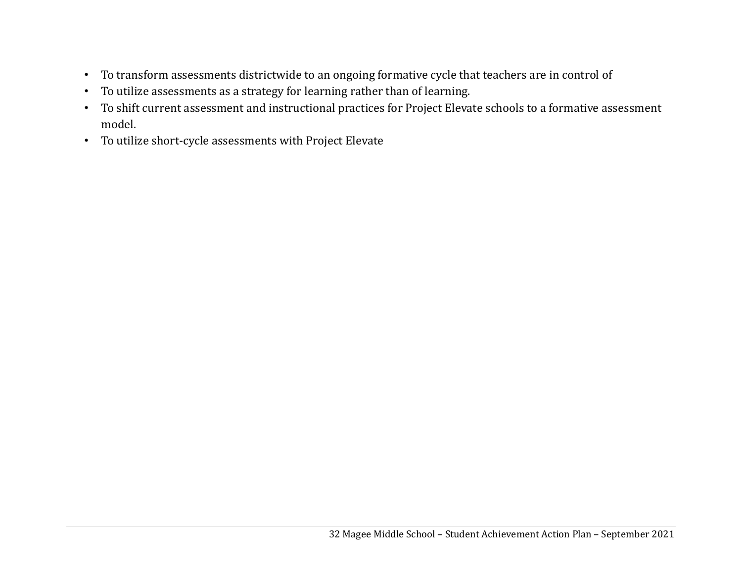- To transform assessments districtwide to an ongoing formative cycle that teachers are in control of
- To utilize assessments as a strategy for learning rather than of learning.
- To shift current assessment and instructional practices for Project Elevate schools to a formative assessment model.
- To utilize short-cycle assessments with Project Elevate